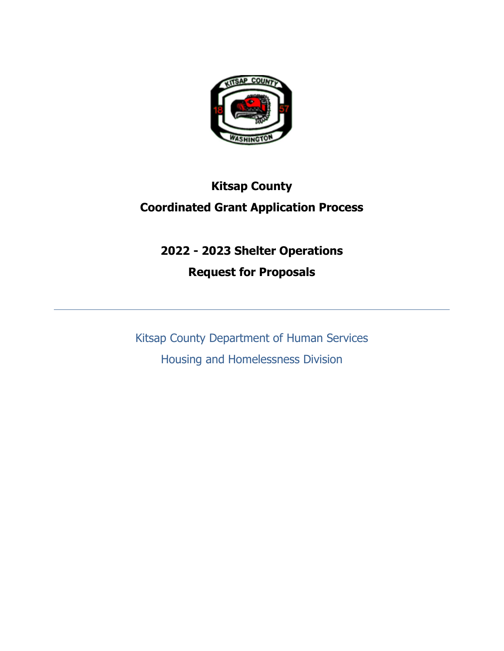

## **Kitsap County Coordinated Grant Application Process**

# **2022 - 2023 Shelter Operations Request for Proposals**

Kitsap County Department of Human Services Housing and Homelessness Division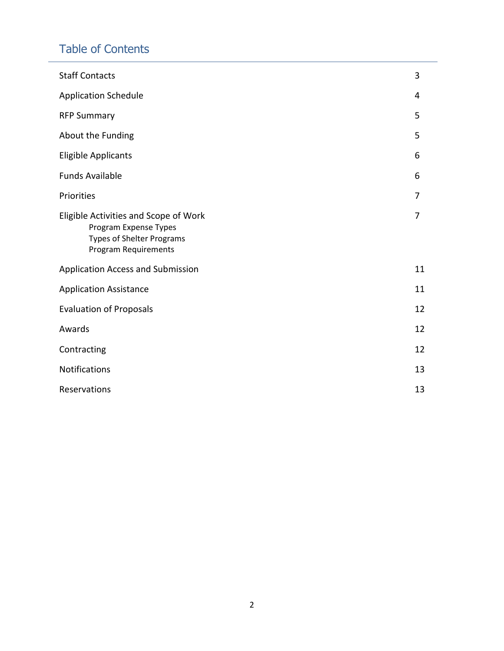## Table of Contents

| <b>Staff Contacts</b>                                                                                                             | 3              |  |  |
|-----------------------------------------------------------------------------------------------------------------------------------|----------------|--|--|
| <b>Application Schedule</b>                                                                                                       | 4              |  |  |
| <b>RFP Summary</b>                                                                                                                | 5              |  |  |
| About the Funding                                                                                                                 | 5              |  |  |
| <b>Eligible Applicants</b>                                                                                                        | 6              |  |  |
| <b>Funds Available</b>                                                                                                            | 6              |  |  |
| Priorities                                                                                                                        | 7              |  |  |
| Eligible Activities and Scope of Work<br>Program Expense Types<br><b>Types of Shelter Programs</b><br><b>Program Requirements</b> | $\overline{7}$ |  |  |
| Application Access and Submission                                                                                                 | 11             |  |  |
| <b>Application Assistance</b>                                                                                                     |                |  |  |
| <b>Evaluation of Proposals</b>                                                                                                    |                |  |  |
| Awards                                                                                                                            | 12             |  |  |
| Contracting                                                                                                                       | 12             |  |  |
| Notifications                                                                                                                     |                |  |  |
| Reservations                                                                                                                      |                |  |  |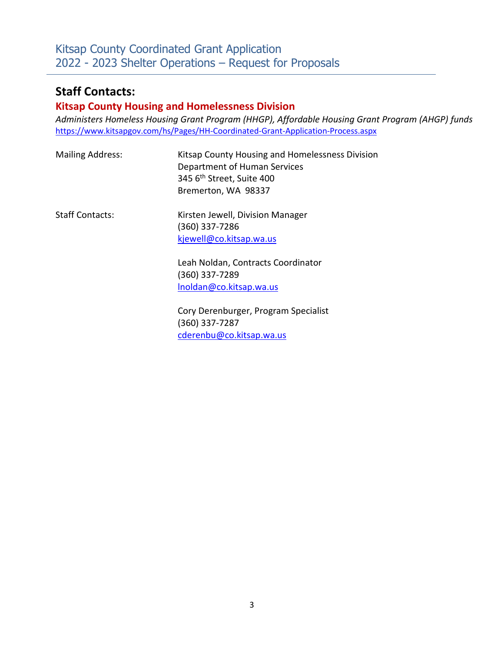### **Staff Contacts:**

#### **Kitsap County Housing and Homelessness Division**

*Administers Homeless Housing Grant Program (HHGP), Affordable Housing Grant Program (AHGP) funds* <https://www.kitsapgov.com/hs/Pages/HH-Coordinated-Grant-Application-Process.aspx>

| <b>Mailing Address:</b> | Kitsap County Housing and Homelessness Division<br>Department of Human Services<br>345 6 <sup>th</sup> Street, Suite 400<br>Bremerton, WA 98337 |
|-------------------------|-------------------------------------------------------------------------------------------------------------------------------------------------|
| <b>Staff Contacts:</b>  | Kirsten Jewell, Division Manager<br>(360) 337-7286<br>kjewell@co.kitsap.wa.us                                                                   |
|                         | Leah Noldan, Contracts Coordinator<br>(360) 337-7289<br>Inoldan@co.kitsap.wa.us                                                                 |

Cory Derenburger, Program Specialist (360) 337-7287 [cderenbu@co.kitsap.wa.us](mailto:cderenbu@co.kitsap.wa.us)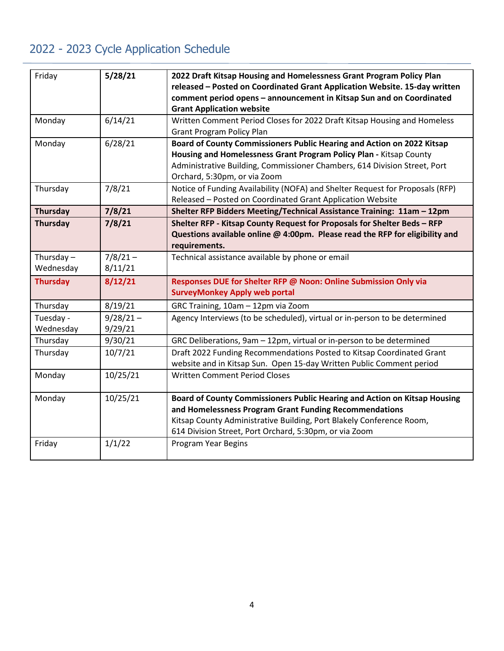## 2022 - 2023 Cycle Application Schedule

| Friday          | 5/28/21     | 2022 Draft Kitsap Housing and Homelessness Grant Program Policy Plan          |
|-----------------|-------------|-------------------------------------------------------------------------------|
|                 |             | released - Posted on Coordinated Grant Application Website. 15-day written    |
|                 |             | comment period opens - announcement in Kitsap Sun and on Coordinated          |
|                 |             | <b>Grant Application website</b>                                              |
| Monday          | 6/14/21     | Written Comment Period Closes for 2022 Draft Kitsap Housing and Homeless      |
|                 |             | <b>Grant Program Policy Plan</b>                                              |
| Monday          | 6/28/21     | Board of County Commissioners Public Hearing and Action on 2022 Kitsap        |
|                 |             | Housing and Homelessness Grant Program Policy Plan - Kitsap County            |
|                 |             | Administrative Building, Commissioner Chambers, 614 Division Street, Port     |
|                 |             | Orchard, 5:30pm, or via Zoom                                                  |
| Thursday        | 7/8/21      | Notice of Funding Availability (NOFA) and Shelter Request for Proposals (RFP) |
|                 |             | Released - Posted on Coordinated Grant Application Website                    |
| <b>Thursday</b> | 7/8/21      | Shelter RFP Bidders Meeting/Technical Assistance Training: 11am - 12pm        |
| <b>Thursday</b> | 7/8/21      | Shelter RFP - Kitsap County Request for Proposals for Shelter Beds - RFP      |
|                 |             | Questions available online @ 4:00pm. Please read the RFP for eligibility and  |
|                 |             | requirements.                                                                 |
| Thursday $-$    | $7/8/21 -$  | Technical assistance available by phone or email                              |
| Wednesday       | 8/11/21     |                                                                               |
| <b>Thursday</b> | 8/12/21     | Responses DUE for Shelter RFP @ Noon: Online Submission Only via              |
|                 |             | <b>SurveyMonkey Apply web portal</b>                                          |
| Thursday        | 8/19/21     | GRC Training, 10am - 12pm via Zoom                                            |
| Tuesday -       | $9/28/21 -$ | Agency Interviews (to be scheduled), virtual or in-person to be determined    |
| Wednesday       | 9/29/21     |                                                                               |
| Thursday        | 9/30/21     | GRC Deliberations, 9am - 12pm, virtual or in-person to be determined          |
| Thursday        | 10/7/21     | Draft 2022 Funding Recommendations Posted to Kitsap Coordinated Grant         |
|                 |             | website and in Kitsap Sun. Open 15-day Written Public Comment period          |
| Monday          | 10/25/21    | Written Comment Period Closes                                                 |
| Monday          | 10/25/21    | Board of County Commissioners Public Hearing and Action on Kitsap Housing     |
|                 |             | and Homelessness Program Grant Funding Recommendations                        |
|                 |             | Kitsap County Administrative Building, Port Blakely Conference Room,          |
|                 |             | 614 Division Street, Port Orchard, 5:30pm, or via Zoom                        |
| Friday          | 1/1/22      | <b>Program Year Begins</b>                                                    |
|                 |             |                                                                               |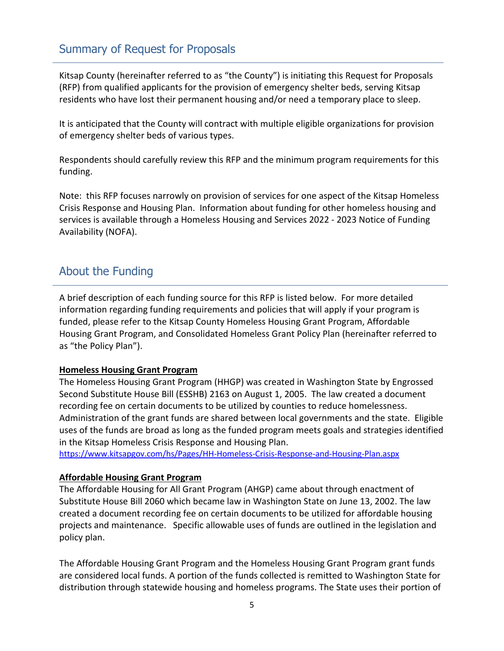### Summary of Request for Proposals

Kitsap County (hereinafter referred to as "the County") is initiating this Request for Proposals (RFP) from qualified applicants for the provision of emergency shelter beds, serving Kitsap residents who have lost their permanent housing and/or need a temporary place to sleep.

It is anticipated that the County will contract with multiple eligible organizations for provision of emergency shelter beds of various types.

Respondents should carefully review this RFP and the minimum program requirements for this funding.

Note: this RFP focuses narrowly on provision of services for one aspect of the Kitsap Homeless Crisis Response and Housing Plan. Information about funding for other homeless housing and services is available through a Homeless Housing and Services 2022 - 2023 Notice of Funding Availability (NOFA).

### About the Funding

A brief description of each funding source for this RFP is listed below. For more detailed information regarding funding requirements and policies that will apply if your program is funded, please refer to the Kitsap County Homeless Housing Grant Program, Affordable Housing Grant Program, and Consolidated Homeless Grant Policy Plan (hereinafter referred to as "the Policy Plan").

#### **Homeless Housing Grant Program**

The Homeless Housing Grant Program (HHGP) was created in Washington State by Engrossed Second Substitute House Bill (ESSHB) 2163 on August 1, 2005. The law created a document recording fee on certain documents to be utilized by counties to reduce homelessness. Administration of the grant funds are shared between local governments and the state. Eligible uses of the funds are broad as long as the funded program meets goals and strategies identified in the Kitsap Homeless Crisis Response and Housing Plan.

<https://www.kitsapgov.com/hs/Pages/HH-Homeless-Crisis-Response-and-Housing-Plan.aspx>

#### **Affordable Housing Grant Program**

The Affordable Housing for All Grant Program (AHGP) came about through enactment of Substitute House Bill 2060 which became law in Washington State on June 13, 2002. The law created a document recording fee on certain documents to be utilized for affordable housing projects and maintenance. Specific allowable uses of funds are outlined in the legislation and policy plan.

The Affordable Housing Grant Program and the Homeless Housing Grant Program grant funds are considered local funds. A portion of the funds collected is remitted to Washington State for distribution through statewide housing and homeless programs. The State uses their portion of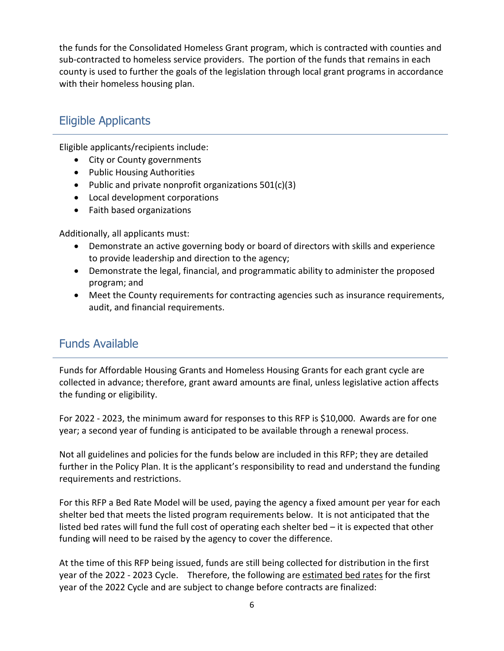the funds for the Consolidated Homeless Grant program, which is contracted with counties and sub-contracted to homeless service providers. The portion of the funds that remains in each county is used to further the goals of the legislation through local grant programs in accordance with their homeless housing plan.

### Eligible Applicants

Eligible applicants/recipients include:

- City or County governments
- Public Housing Authorities
- Public and private nonprofit organizations 501(c)(3)
- Local development corporations
- Faith based organizations

Additionally, all applicants must:

- Demonstrate an active governing body or board of directors with skills and experience to provide leadership and direction to the agency;
- Demonstrate the legal, financial, and programmatic ability to administer the proposed program; and
- Meet the County requirements for contracting agencies such as insurance requirements, audit, and financial requirements.

### Funds Available

Funds for Affordable Housing Grants and Homeless Housing Grants for each grant cycle are collected in advance; therefore, grant award amounts are final, unless legislative action affects the funding or eligibility.

For 2022 - 2023, the minimum award for responses to this RFP is \$10,000. Awards are for one year; a second year of funding is anticipated to be available through a renewal process.

Not all guidelines and policies for the funds below are included in this RFP; they are detailed further in the Policy Plan. It is the applicant's responsibility to read and understand the funding requirements and restrictions.

For this RFP a Bed Rate Model will be used, paying the agency a fixed amount per year for each shelter bed that meets the listed program requirements below. It is not anticipated that the listed bed rates will fund the full cost of operating each shelter bed – it is expected that other funding will need to be raised by the agency to cover the difference.

At the time of this RFP being issued, funds are still being collected for distribution in the first year of the 2022 - 2023 Cycle. Therefore, the following are estimated bed rates for the first year of the 2022 Cycle and are subject to change before contracts are finalized: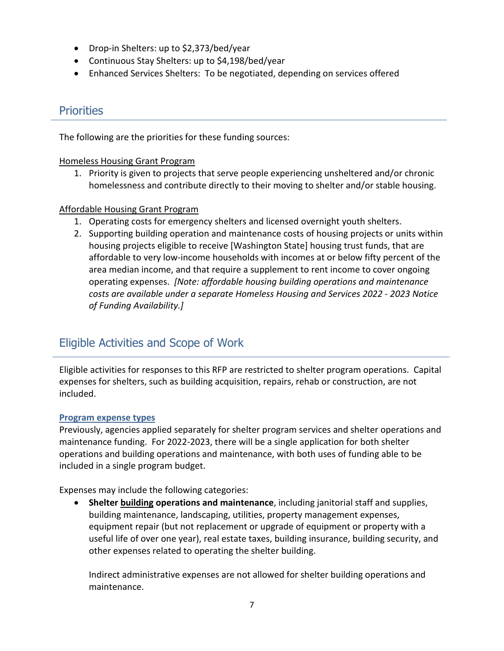- Drop-in Shelters: up to \$2,373/bed/year
- Continuous Stay Shelters: up to \$4,198/bed/year
- Enhanced Services Shelters: To be negotiated, depending on services offered

#### **Priorities**

The following are the priorities for these funding sources:

#### Homeless Housing Grant Program

1. Priority is given to projects that serve people experiencing unsheltered and/or chronic homelessness and contribute directly to their moving to shelter and/or stable housing.

#### Affordable Housing Grant Program

- 1. Operating costs for emergency shelters and licensed overnight youth shelters.
- 2. Supporting building operation and maintenance costs of housing projects or units within housing projects eligible to receive [Washington State] housing trust funds, that are affordable to very low-income households with incomes at or below fifty percent of the area median income, and that require a supplement to rent income to cover ongoing operating expenses. *[Note: affordable housing building operations and maintenance costs are available under a separate Homeless Housing and Services 2022 - 2023 Notice of Funding Availability.]*

### Eligible Activities and Scope of Work

Eligible activities for responses to this RFP are restricted to shelter program operations. Capital expenses for shelters, such as building acquisition, repairs, rehab or construction, are not included.

#### **Program expense types**

Previously, agencies applied separately for shelter program services and shelter operations and maintenance funding. For 2022-2023, there will be a single application for both shelter operations and building operations and maintenance, with both uses of funding able to be included in a single program budget.

Expenses may include the following categories:

• **Shelter building operations and maintenance**, including janitorial staff and supplies, building maintenance, landscaping, utilities, property management expenses, equipment repair (but not replacement or upgrade of equipment or property with a useful life of over one year), real estate taxes, building insurance, building security, and other expenses related to operating the shelter building.

Indirect administrative expenses are not allowed for shelter building operations and maintenance.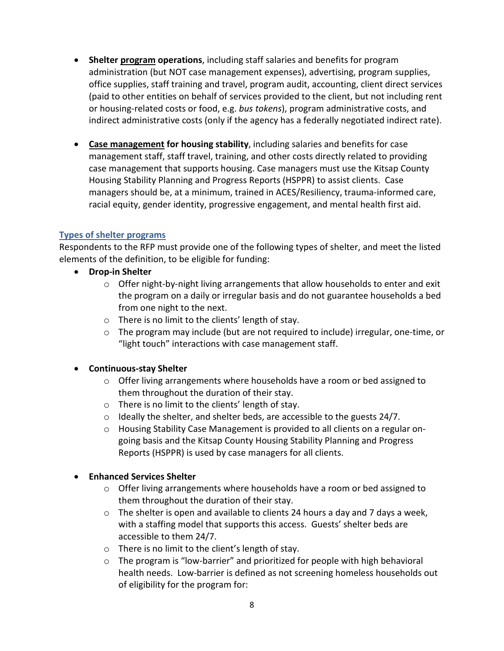- **Shelter program operations**, including staff salaries and benefits for program administration (but NOT case management expenses), advertising, program supplies, office supplies, staff training and travel, program audit, accounting, client direct services (paid to other entities on behalf of services provided to the client, but not including rent or housing-related costs or food, e.g. *bus tokens*), program administrative costs, and indirect administrative costs (only if the agency has a federally negotiated indirect rate).
- **Case management for housing stability**, including salaries and benefits for case management staff, staff travel, training, and other costs directly related to providing case management that supports housing. Case managers must use the Kitsap County Housing Stability Planning and Progress Reports (HSPPR) to assist clients. Case managers should be, at a minimum, trained in ACES/Resiliency, trauma-informed care, racial equity, gender identity, progressive engagement, and mental health first aid.

#### **Types of shelter programs**

Respondents to the RFP must provide one of the following types of shelter, and meet the listed elements of the definition, to be eligible for funding:

- **Drop-in Shelter**
	- $\circ$  Offer night-by-night living arrangements that allow households to enter and exit the program on a daily or irregular basis and do not guarantee households a bed from one night to the next.
	- o There is no limit to the clients' length of stay.
	- $\circ$  The program may include (but are not required to include) irregular, one-time, or "light touch" interactions with case management staff.

#### • **Continuous-stay Shelter**

- o Offer living arrangements where households have a room or bed assigned to them throughout the duration of their stay.
- o There is no limit to the clients' length of stay.
- o Ideally the shelter, and shelter beds, are accessible to the guests 24/7.
- $\circ$  Housing Stability Case Management is provided to all clients on a regular ongoing basis and the Kitsap County Housing Stability Planning and Progress Reports (HSPPR) is used by case managers for all clients.

#### • **Enhanced Services Shelter**

- $\circ$  Offer living arrangements where households have a room or bed assigned to them throughout the duration of their stay.
- $\circ$  The shelter is open and available to clients 24 hours a day and 7 days a week, with a staffing model that supports this access. Guests' shelter beds are accessible to them 24/7.
- o There is no limit to the client's length of stay.
- $\circ$  The program is "low-barrier" and prioritized for people with high behavioral health needs. Low-barrier is defined as not screening homeless households out of eligibility for the program for: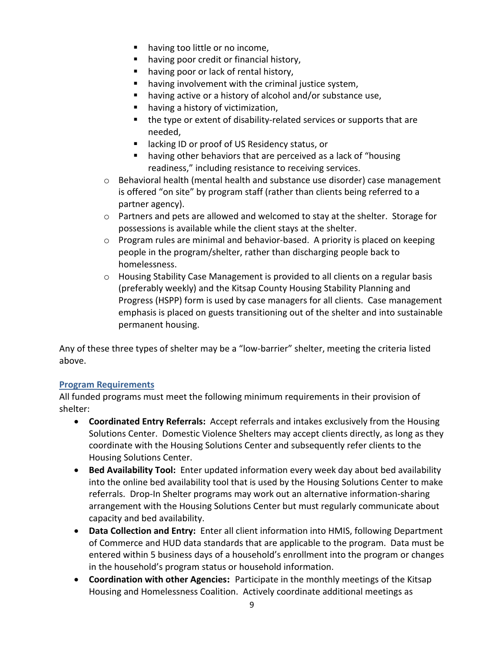- having too little or no income,
- **having poor credit or financial history,**
- having poor or lack of rental history,
- having involvement with the criminal justice system,
- having active or a history of alcohol and/or substance use,
- having a history of victimization,
- the type or extent of disability-related services or supports that are needed,
- lacking ID or proof of US Residency status, or
- having other behaviors that are perceived as a lack of "housing readiness," including resistance to receiving services.
- $\circ$  Behavioral health (mental health and substance use disorder) case management is offered "on site" by program staff (rather than clients being referred to a partner agency).
- $\circ$  Partners and pets are allowed and welcomed to stay at the shelter. Storage for possessions is available while the client stays at the shelter.
- $\circ$  Program rules are minimal and behavior-based. A priority is placed on keeping people in the program/shelter, rather than discharging people back to homelessness.
- o Housing Stability Case Management is provided to all clients on a regular basis (preferably weekly) and the Kitsap County Housing Stability Planning and Progress (HSPP) form is used by case managers for all clients. Case management emphasis is placed on guests transitioning out of the shelter and into sustainable permanent housing.

Any of these three types of shelter may be a "low-barrier" shelter, meeting the criteria listed above.

#### **Program Requirements**

All funded programs must meet the following minimum requirements in their provision of shelter:

- **Coordinated Entry Referrals:** Accept referrals and intakes exclusively from the Housing Solutions Center. Domestic Violence Shelters may accept clients directly, as long as they coordinate with the Housing Solutions Center and subsequently refer clients to the Housing Solutions Center.
- **Bed Availability Tool:** Enter updated information every week day about bed availability into the online bed availability tool that is used by the Housing Solutions Center to make referrals. Drop-In Shelter programs may work out an alternative information-sharing arrangement with the Housing Solutions Center but must regularly communicate about capacity and bed availability.
- **Data Collection and Entry:** Enter all client information into HMIS, following Department of Commerce and HUD data standards that are applicable to the program. Data must be entered within 5 business days of a household's enrollment into the program or changes in the household's program status or household information.
- **Coordination with other Agencies:** Participate in the monthly meetings of the Kitsap Housing and Homelessness Coalition. Actively coordinate additional meetings as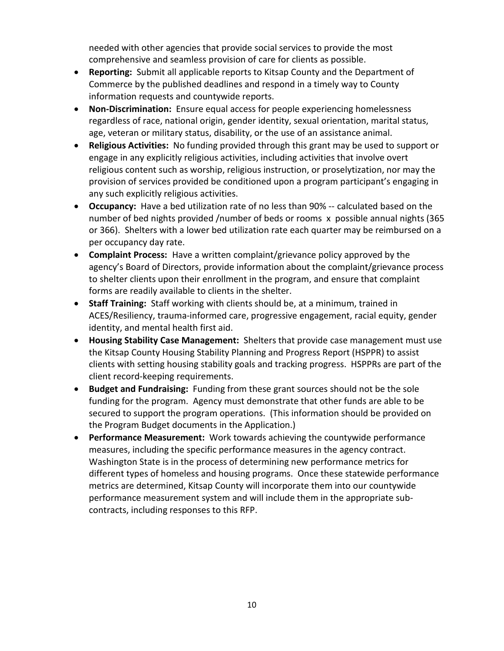needed with other agencies that provide social services to provide the most comprehensive and seamless provision of care for clients as possible.

- **Reporting:** Submit all applicable reports to Kitsap County and the Department of Commerce by the published deadlines and respond in a timely way to County information requests and countywide reports.
- **Non-Discrimination:** Ensure equal access for people experiencing homelessness regardless of race, national origin, gender identity, sexual orientation, marital status, age, veteran or military status, disability, or the use of an assistance animal.
- **Religious Activities:** No funding provided through this grant may be used to support or engage in any explicitly religious activities, including activities that involve overt religious content such as worship, religious instruction, or proselytization, nor may the provision of services provided be conditioned upon a program participant's engaging in any such explicitly religious activities.
- **Occupancy:** Have a bed utilization rate of no less than 90% -- calculated based on the number of bed nights provided /number of beds or rooms x possible annual nights (365 or 366). Shelters with a lower bed utilization rate each quarter may be reimbursed on a per occupancy day rate.
- **Complaint Process:** Have a written complaint/grievance policy approved by the agency's Board of Directors, provide information about the complaint/grievance process to shelter clients upon their enrollment in the program, and ensure that complaint forms are readily available to clients in the shelter.
- **Staff Training:** Staff working with clients should be, at a minimum, trained in ACES/Resiliency, trauma-informed care, progressive engagement, racial equity, gender identity, and mental health first aid.
- **Housing Stability Case Management:** Shelters that provide case management must use the Kitsap County Housing Stability Planning and Progress Report (HSPPR) to assist clients with setting housing stability goals and tracking progress. HSPPRs are part of the client record-keeping requirements.
- **Budget and Fundraising:** Funding from these grant sources should not be the sole funding for the program. Agency must demonstrate that other funds are able to be secured to support the program operations. (This information should be provided on the Program Budget documents in the Application.)
- **Performance Measurement:** Work towards achieving the countywide performance measures, including the specific performance measures in the agency contract. Washington State is in the process of determining new performance metrics for different types of homeless and housing programs. Once these statewide performance metrics are determined, Kitsap County will incorporate them into our countywide performance measurement system and will include them in the appropriate subcontracts, including responses to this RFP.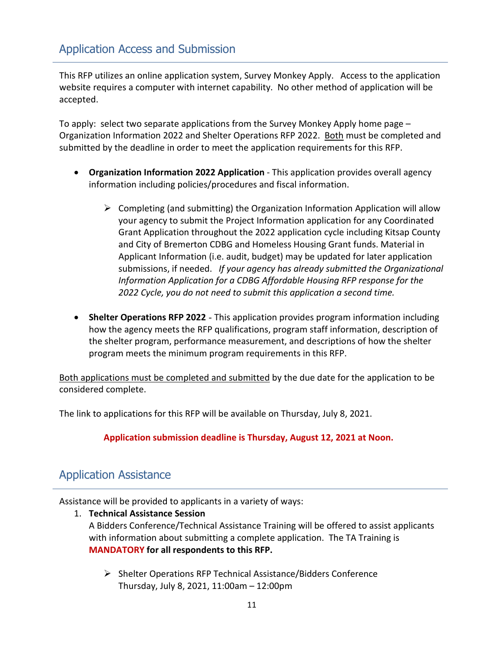This RFP utilizes an online application system, Survey Monkey Apply. Access to the application website requires a computer with internet capability. No other method of application will be accepted.

To apply: select two separate applications from the Survey Monkey Apply home page – Organization Information 2022 and Shelter Operations RFP 2022. Both must be completed and submitted by the deadline in order to meet the application requirements for this RFP.

- **Organization Information 2022 Application** This application provides overall agency information including policies/procedures and fiscal information.
	- $\triangleright$  Completing (and submitting) the Organization Information Application will allow your agency to submit the Project Information application for any Coordinated Grant Application throughout the 2022 application cycle including Kitsap County and City of Bremerton CDBG and Homeless Housing Grant funds. Material in Applicant Information (i.e. audit, budget) may be updated for later application submissions, if needed. *If your agency has already submitted the Organizational Information Application for a CDBG Affordable Housing RFP response for the 2022 Cycle, you do not need to submit this application a second time.*
- **Shelter Operations RFP 2022** This application provides program information including how the agency meets the RFP qualifications, program staff information, description of the shelter program, performance measurement, and descriptions of how the shelter program meets the minimum program requirements in this RFP.

Both applications must be completed and submitted by the due date for the application to be considered complete.

The link to applications for this RFP will be available on Thursday, July 8, 2021.

**Application submission deadline is Thursday, August 12, 2021 at Noon.**

### Application Assistance

Assistance will be provided to applicants in a variety of ways:

- 1. **Technical Assistance Session**  A Bidders Conference/Technical Assistance Training will be offered to assist applicants with information about submitting a complete application. The TA Training is **MANDATORY for all respondents to this RFP.** 
	- $\triangleright$  Shelter Operations RFP Technical Assistance/Bidders Conference Thursday, July 8, 2021, 11:00am – 12:00pm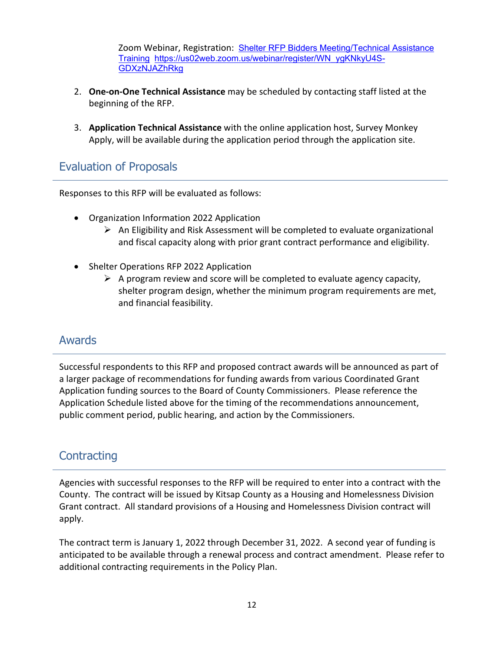Zoom Webinar, Registration: [Shelter RFP Bidders Meeting/Technical Assistance](https://us02web.zoom.us/webinar/register/WN_ygKNkyU4S-GDXzNJAZhRkg)  [Training](https://us02web.zoom.us/webinar/register/WN_ygKNkyU4S-GDXzNJAZhRkg) [https://us02web.zoom.us/webinar/register/WN\\_ygKNkyU4S-](https://us02web.zoom.us/webinar/register/WN_ygKNkyU4S-GDXzNJAZhRkg)[GDXzNJAZhRkg](https://us02web.zoom.us/webinar/register/WN_ygKNkyU4S-GDXzNJAZhRkg)

- 2. **One-on-One Technical Assistance** may be scheduled by contacting staff listed at the beginning of the RFP.
- 3. **Application Technical Assistance** with the online application host, Survey Monkey Apply, will be available during the application period through the application site.

### Evaluation of Proposals

Responses to this RFP will be evaluated as follows:

- Organization Information 2022 Application
	- $\triangleright$  An Eligibility and Risk Assessment will be completed to evaluate organizational and fiscal capacity along with prior grant contract performance and eligibility.
- Shelter Operations RFP 2022 Application
	- $\triangleright$  A program review and score will be completed to evaluate agency capacity, shelter program design, whether the minimum program requirements are met, and financial feasibility.

### Awards

Successful respondents to this RFP and proposed contract awards will be announced as part of a larger package of recommendations for funding awards from various Coordinated Grant Application funding sources to the Board of County Commissioners. Please reference the Application Schedule listed above for the timing of the recommendations announcement, public comment period, public hearing, and action by the Commissioners.

### **Contracting**

Agencies with successful responses to the RFP will be required to enter into a contract with the County. The contract will be issued by Kitsap County as a Housing and Homelessness Division Grant contract. All standard provisions of a Housing and Homelessness Division contract will apply.

The contract term is January 1, 2022 through December 31, 2022. A second year of funding is anticipated to be available through a renewal process and contract amendment. Please refer to additional contracting requirements in the Policy Plan.